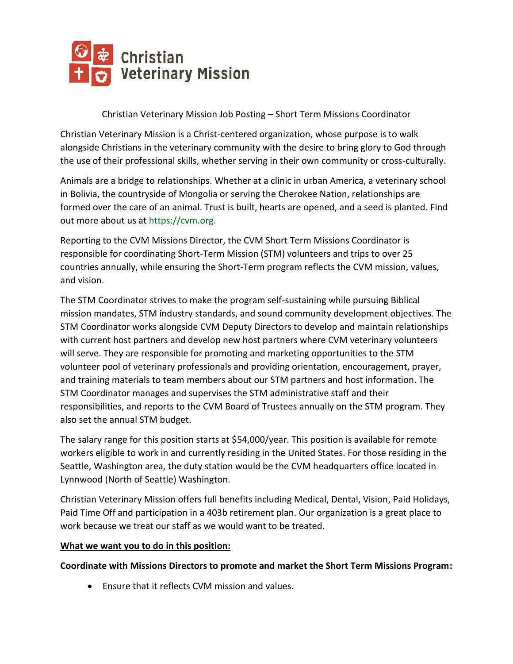

Christian Veterinary Mission Job Posting – Short Term Missions Coordinator

Christian Veterinary Mission is a Christ-centered organization, whose purpose is to walk alongside Christians in the veterinary community with the desire to bring glory to God through the use of their professional skills, whether serving in their own community or cross-culturally.

Animals are a bridge to relationships. Whether at a clinic in urban America, a veterinary school in Bolivia, the countryside of Mongolia or serving the Cherokee Nation, relationships are formed over the care of an animal. Trust is built, hearts are opened, and a seed is planted. Find out more about us at https://cvm.org.

Reporting to the CVM Missions Director, the CVM Short Term Missions Coordinator is responsible for coordinating Short-Term Mission (STM) volunteers and trips to over 25 countries annually, while ensuring the Short-Term program reflects the CVM mission, values, and vision.

The STM Coordinator strives to make the program self-sustaining while pursuing Biblical mission mandates, STM industry standards, and sound community development objectives. The STM Coordinator works alongside CVM Deputy Directors to develop and maintain relationships with current host partners and develop new host partners where CVM veterinary volunteers will serve. They are responsible for promoting and marketing opportunities to the STM volunteer pool of veterinary professionals and providing orientation, encouragement, prayer, and training materials to team members about our STM partners and host information. The STM Coordinator manages and supervises the STM administrative staff and their responsibilities, and reports to the CVM Board of Trustees annually on the STM program. They also set the annual STM budget.

The salary range for this position starts at \$54,000/year. This position is available for remote workers eligible to work in and currently residing in the United States. For those residing in the Seattle, Washington area, the duty station would be the CVM headquarters office located in Lynnwood (North of Seattle) Washington.

Christian Veterinary Mission offers full benefits including Medical, Dental, Vision, Paid Holidays, Paid Time Off and participation in a 403b retirement plan. Our organization is a great place to work because we treat our staff as we would want to be treated.

#### **What we want you to do in this position:**

**Coordinate with Missions Directors to promote and market the Short Term Missions Program:**

• Ensure that it reflects CVM mission and values.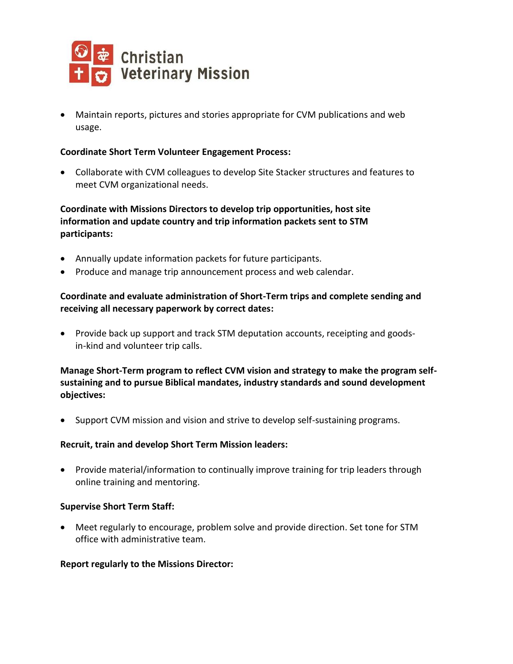

• Maintain reports, pictures and stories appropriate for CVM publications and web usage.

#### **Coordinate Short Term Volunteer Engagement Process:**

• Collaborate with CVM colleagues to develop Site Stacker structures and features to meet CVM organizational needs.

**Coordinate with Missions Directors to develop trip opportunities, host site information and update country and trip information packets sent to STM participants:**

- Annually update information packets for future participants.
- Produce and manage trip announcement process and web calendar.

# **Coordinate and evaluate administration of Short-Term trips and complete sending and receiving all necessary paperwork by correct dates:**

• Provide back up support and track STM deputation accounts, receipting and goodsin-kind and volunteer trip calls.

### **Manage Short-Term program to reflect CVM vision and strategy to make the program selfsustaining and to pursue Biblical mandates, industry standards and sound development objectives:**

• Support CVM mission and vision and strive to develop self-sustaining programs.

#### **Recruit, train and develop Short Term Mission leaders:**

• Provide material/information to continually improve training for trip leaders through online training and mentoring.

#### **Supervise Short Term Staff:**

• Meet regularly to encourage, problem solve and provide direction. Set tone for STM office with administrative team.

#### **Report regularly to the Missions Director:**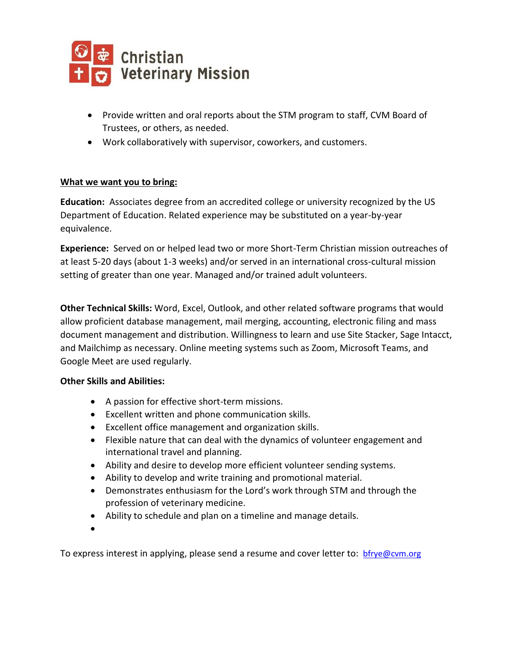

- Provide written and oral reports about the STM program to staff, CVM Board of Trustees, or others, as needed.
- Work collaboratively with supervisor, coworkers, and customers.

## **What we want you to bring:**

**Education:** Associates degree from an accredited college or university recognized by the US Department of Education. Related experience may be substituted on a year-by-year equivalence.

**Experience:** Served on or helped lead two or more Short-Term Christian mission outreaches of at least 5-20 days (about 1-3 weeks) and/or served in an international cross-cultural mission setting of greater than one year. Managed and/or trained adult volunteers.

**Other Technical Skills:** Word, Excel, Outlook, and other related software programs that would allow proficient database management, mail merging, accounting, electronic filing and mass document management and distribution. Willingness to learn and use Site Stacker, Sage Intacct, and Mailchimp as necessary. Online meeting systems such as Zoom, Microsoft Teams, and Google Meet are used regularly.

## **Other Skills and Abilities:**

- A passion for effective short-term missions.
- Excellent written and phone communication skills.
- Excellent office management and organization skills.
- Flexible nature that can deal with the dynamics of volunteer engagement and international travel and planning.
- Ability and desire to develop more efficient volunteer sending systems.
- Ability to develop and write training and promotional material.
- Demonstrates enthusiasm for the Lord's work through STM and through the profession of veterinary medicine.
- Ability to schedule and plan on a timeline and manage details.
- •

To express interest in applying, please send a resume and cover letter to: brive@cvm.org